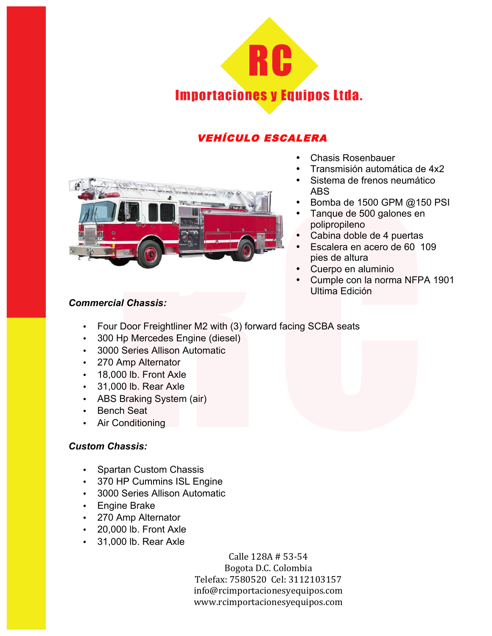

# VEHÍCULO ESCALERA



- Chasis Rosenbauer
- Transmisión automática de 4x2
- Sistema de frenos neumático ABS
- Bomba de 1500 GPM @150 PSI
- Tanque de 500 galones en polipropileno
- Cabina doble de 4 puertas
- Escalera en acero de 60 109 pies de altura
- Cuerpo en aluminio
- Cumple con la norma NFPA 1901 Ultima Edición

### *Commercial Chassis:*

- Four Door Freightliner M2 with (3) forward facing SCBA seats
- 300 Hp Mercedes Engine (diesel)
- 3000 Series Allison Automatic
- 270 Amp Alternator
- 18,000 lb. Front Axle
- 31,000 lb. Rear Axle
- ABS Braking System (air)
- Bench Seat
- Air Conditioning

#### *Custom Chassis:*

- Spartan Custom Chassis
- 370 HP Cummins ISL Engine
- 3000 Series Allison Automatic
- Engine Brake
- 270 Amp Alternator
- 20,000 lb. Front Axle
- 31,000 lb. Rear Axle

Calle 128A # 53-54 Bogota D.C. Colombia Telefax: 7580520 Cel: 3112103157 info@rcimportacionesyequipos.com !!!!!!www.rcimportacionesyequipos.com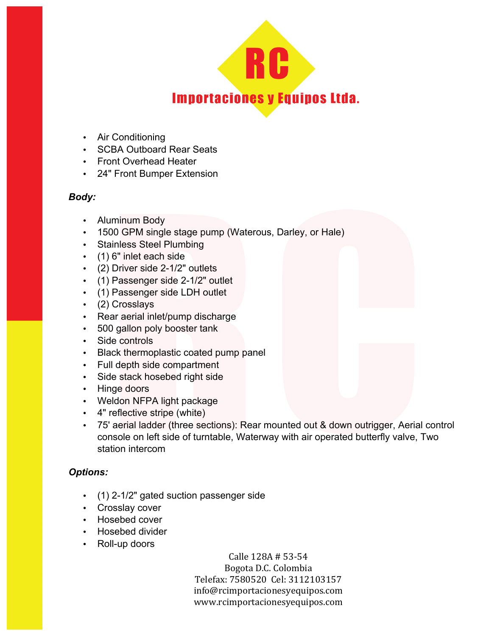

- Air Conditioning
- SCBA Outboard Rear Seats
- Front Overhead Heater
- 24" Front Bumper Extension

#### *Body:*

- Aluminum Body
- 1500 GPM single stage pump (Waterous, Darley, or Hale)
- Stainless Steel Plumbing
- (1) 6" inlet each side
- (2) Driver side 2-1/2" outlets
- (1) Passenger side 2-1/2" outlet
- (1) Passenger side LDH outlet
- (2) Crosslays
- Rear aerial inlet/pump discharge
- 500 gallon poly booster tank
- Side controls
- Black thermoplastic coated pump panel
- Full depth side compartment
- Side stack hosebed right side
- Hinge doors
- Weldon NFPA light package
- 4" reflective stripe (white)
- 75' aerial ladder (three sections): Rear mounted out & down outrigger, Aerial control console on left side of turntable, Waterway with air operated butterfly valve, Two station intercom

## *Options:*

- (1) 2-1/2" gated suction passenger side
- Crosslay cover
- Hosebed cover
- Hosebed divider
- Roll-up doors

Calle 128A # 53-54 Bogota D.C. Colombia Telefax: 7580520 Cel: 3112103157 info@rcimportacionesyequipos.com !!!!!!www.rcimportacionesyequipos.com